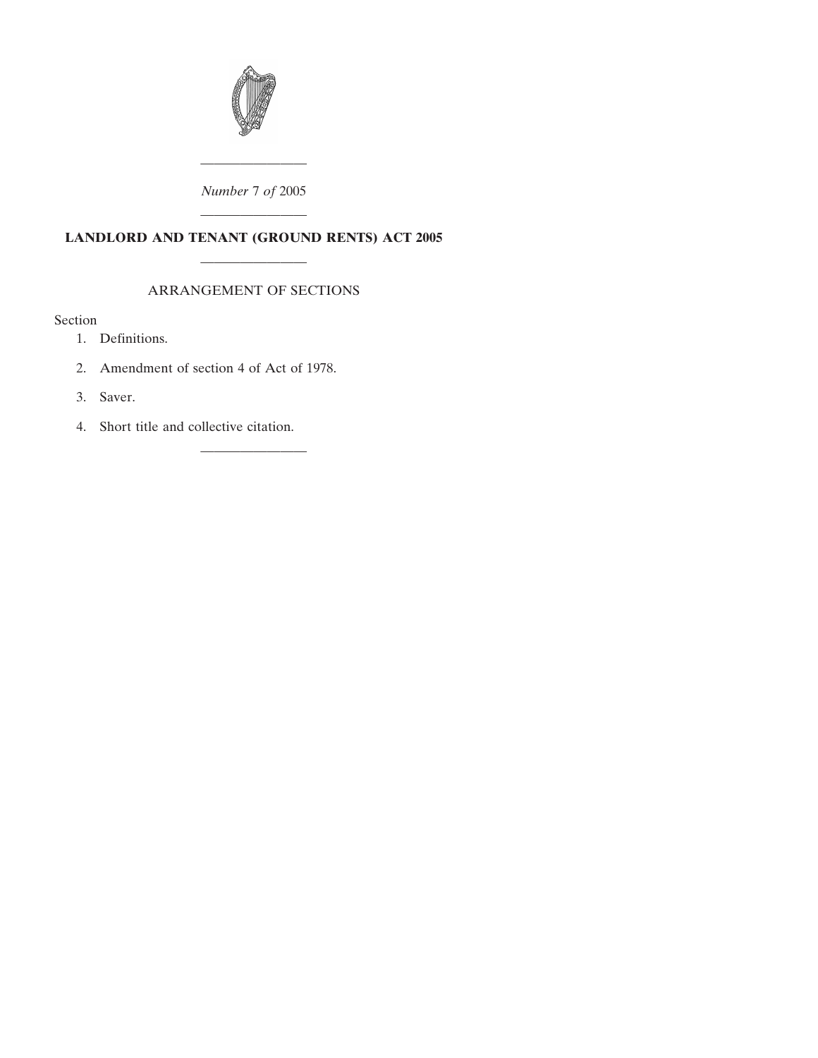

## *Number* 7 *of* 2005

## ———————— **LANDLORD AND TENANT (GROUND RENTS) ACT 2005**

————————

### ARRANGEMENT OF SECTIONS

————————

## [Se](#page-2-0)ction

- [1. Definitions.](#page-2-0)
- [2. Amendment of section 4 of Act of 1978.](#page-2-0)
- [3. Saver.](#page-2-0)
- [4. Short title and collective citation.](#page-3-0)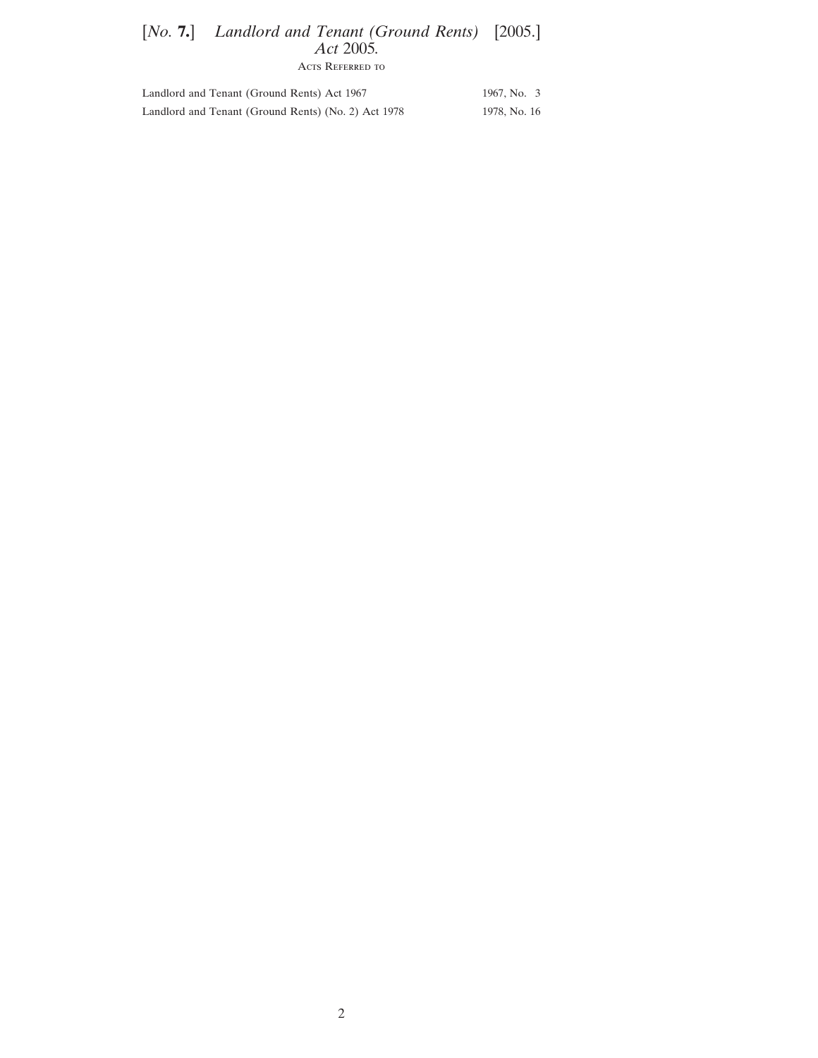## [*No.* **7.**] Landlord and Tenant (Ground Rents) [2005.] *Act* 2005*.*

Acts Referred to

| Landlord and Tenant (Ground Rents) Act 1967         | 1967, No. 3  |
|-----------------------------------------------------|--------------|
| Landlord and Tenant (Ground Rents) (No. 2) Act 1978 | 1978, No. 16 |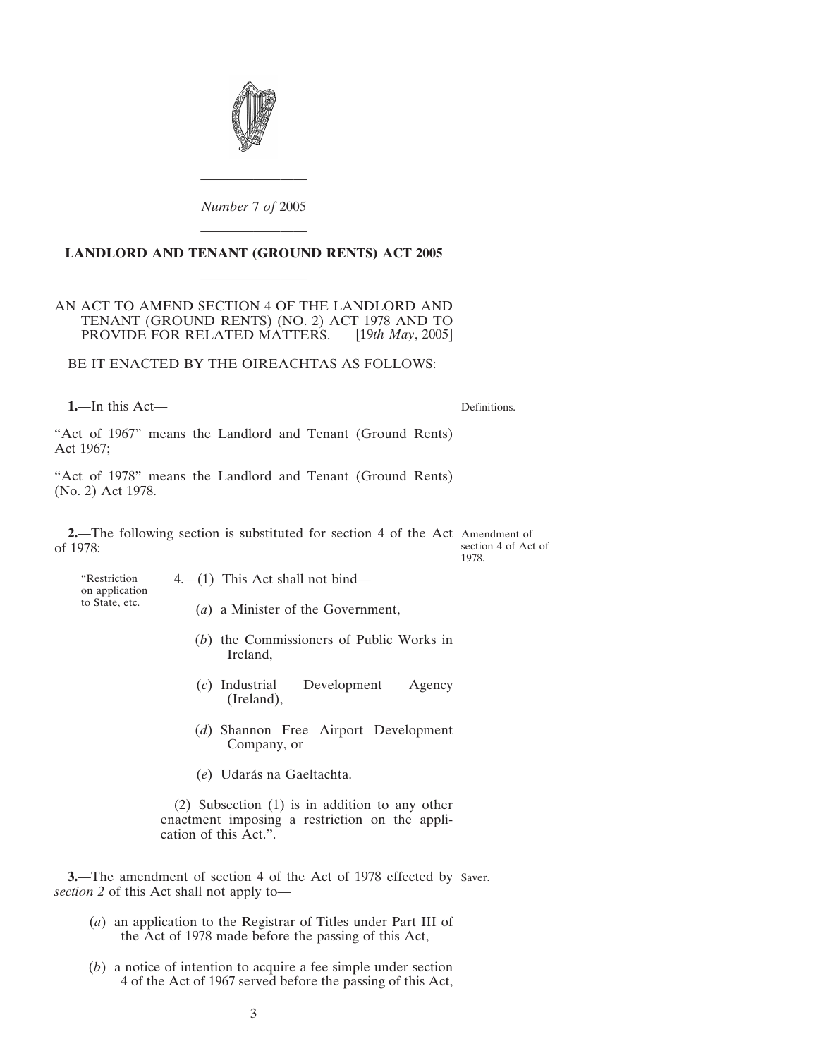<span id="page-2-0"></span>

*Number* 7 *of* 2005

# ———————— **LANDLORD AND TENANT (GROUND RENTS) ACT 2005** ————————

#### AN ACT TO AMEND SECTION 4 OF THE LANDLORD AND TENANT (GROUND RENTS) (NO. 2) ACT 1978 AND TO PROVIDE FOR RELATED MATTERS. [19*th May*, 2005]

BE IT ENACTED BY THE OIREACHTAS AS FOLLOWS:

**1.**—In this Act—

Definitions.

"Act of 1967" means the Landlord and Tenant (Ground Rents) Act 1967;

"Act of 1978" means the Landlord and Tenant (Ground Rents) (No. 2) Act 1978.

**2.**—The following section is substituted for section 4 of the Act Amendment of of 1978: section 4 of Act of 1978.

"Restriction on application to State, etc.

4.—(1) This Act shall not bind—

- (*a*) a Minister of the Government,
- (*b*) the Commissioners of Public Works in Ireland,
- (*c*) Industrial Development Agency (Ireland),
- (*d*) Shannon Free Airport Development Company, or
- (*e*) Udara´s na Gaeltachta.

(2) Subsection (1) is in addition to any other enactment imposing a restriction on the application of this Act.".

**3.**—The amendment of section 4 of the Act of 1978 effected by Saver.*section 2* of this Act shall not apply to—

- (*a*) an application to the Registrar of Titles under Part III of the Act of 1978 made before the passing of this Act,
- (*b*) a notice of intention to acquire a fee simple under section 4 of the Act of 1967 served before the passing of this Act,